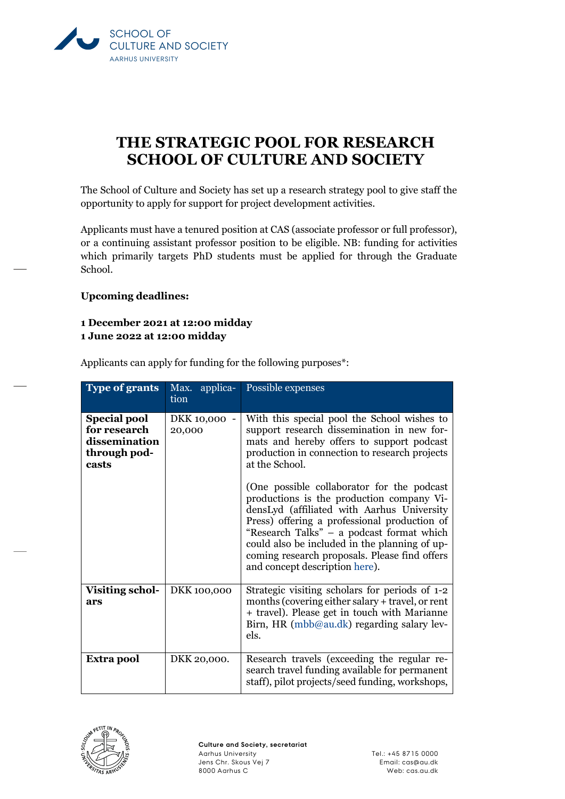

## **THE STRATEGIC POOL FOR RESEARCH SCHOOL OF CULTURE AND SOCIETY**

The School of Culture and Society has set up a research strategy pool to give staff the opportunity to apply for support for project development activities.

Applicants must have a tenured position at CAS (associate professor or full professor), or a continuing assistant professor position to be eligible. NB: funding for activities which primarily targets PhD students must be applied for through the Graduate School.

## **Upcoming deadlines:**

## **1 December 2021 at 12:00 midday**

**1 June 2022 at 12:00 midday**

| <b>Type of grants</b>                                                         | Max. applica-<br>tion  | Possible expenses                                                                                                                                                                                                                                                                                    |
|-------------------------------------------------------------------------------|------------------------|------------------------------------------------------------------------------------------------------------------------------------------------------------------------------------------------------------------------------------------------------------------------------------------------------|
| <b>Special pool</b><br>for research<br>dissemination<br>through pod-<br>casts | DKK 10,000 -<br>20,000 | With this special pool the School wishes to<br>support research dissemination in new for-<br>mats and hereby offers to support podcast<br>production in connection to research projects<br>at the School.<br>(One possible collaborator for the podcast<br>productions is the production company Vi- |
|                                                                               |                        | densLyd (affiliated with Aarhus University<br>Press) offering a professional production of<br>"Research Talks" – a podcast format which<br>could also be included in the planning of up-<br>coming research proposals. Please find offers<br>and concept description here).                          |
| <b>Visiting schol-</b><br>ars                                                 | DKK 100,000            | Strategic visiting scholars for periods of 1-2<br>months (covering either salary + travel, or rent<br>+ travel). Please get in touch with Marianne<br>Birn, HR (mbb@au.dk) regarding salary lev-<br>els.                                                                                             |
| Extra pool                                                                    | DKK 20,000.            | Research travels (exceeding the regular re-<br>search travel funding available for permanent<br>staff), pilot projects/seed funding, workshops,                                                                                                                                                      |

Applicants can apply for funding for the following purposes\*:

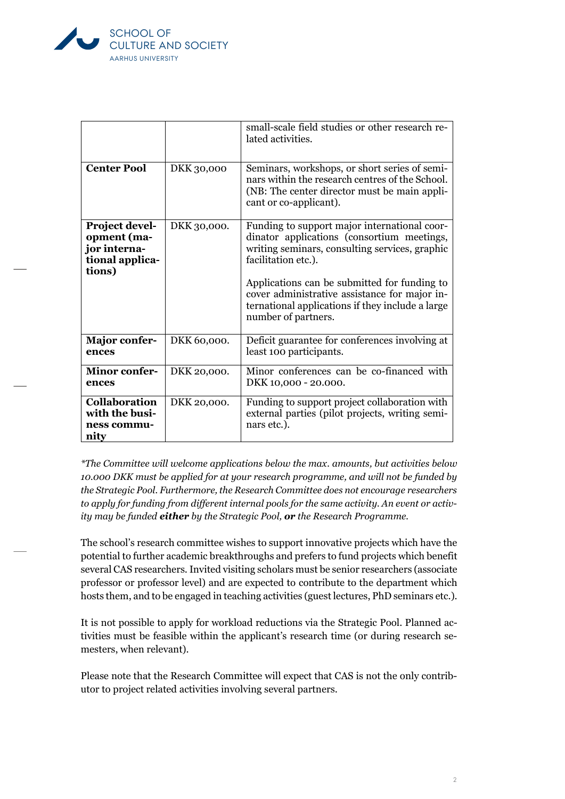

|                                                                            |             | small-scale field studies or other research re-<br>lated activities.                                                                                                                                                                                                                                                                            |
|----------------------------------------------------------------------------|-------------|-------------------------------------------------------------------------------------------------------------------------------------------------------------------------------------------------------------------------------------------------------------------------------------------------------------------------------------------------|
| <b>Center Pool</b>                                                         | DKK 30,000  | Seminars, workshops, or short series of semi-<br>nars within the research centres of the School.<br>(NB: The center director must be main appli-<br>cant or co-applicant).                                                                                                                                                                      |
| Project devel-<br>opment (ma-<br>jor interna-<br>tional applica-<br>tions) | DKK 30,000. | Funding to support major international coor-<br>dinator applications (consortium meetings,<br>writing seminars, consulting services, graphic<br>facilitation etc.).<br>Applications can be submitted for funding to<br>cover administrative assistance for major in-<br>ternational applications if they include a large<br>number of partners. |
| <b>Major confer-</b><br>ences                                              | DKK 60,000. | Deficit guarantee for conferences involving at<br>least 100 participants.                                                                                                                                                                                                                                                                       |
| <b>Minor confer-</b><br>ences                                              | DKK 20,000. | Minor conferences can be co-financed with<br>DKK 10,000 - 20.000.                                                                                                                                                                                                                                                                               |
| <b>Collaboration</b><br>with the busi-<br>ness commu-<br>nity              | DKK 20,000. | Funding to support project collaboration with<br>external parties (pilot projects, writing semi-<br>nars etc.).                                                                                                                                                                                                                                 |

*\*The Committee will welcome applications below the max. amounts, but activities below 10.000 DKK must be applied for at your research programme, and will not be funded by the Strategic Pool. Furthermore, the Research Committee does not encourage researchers to apply for funding from different internal pools for the same activity. An event or activity may be funded either by the Strategic Pool, or the Research Programme.*

The school's research committee wishes to support innovative projects which have the potential to further academic breakthroughs and prefers to fund projects which benefit several CAS researchers. Invited visiting scholars must be senior researchers (associate professor or professor level) and are expected to contribute to the department which hosts them, and to be engaged in teaching activities (guest lectures, PhD seminars etc.).

It is not possible to apply for workload reductions via the Strategic Pool. Planned activities must be feasible within the applicant's research time (or during research semesters, when relevant).

Please note that the Research Committee will expect that CAS is not the only contributor to project related activities involving several partners.